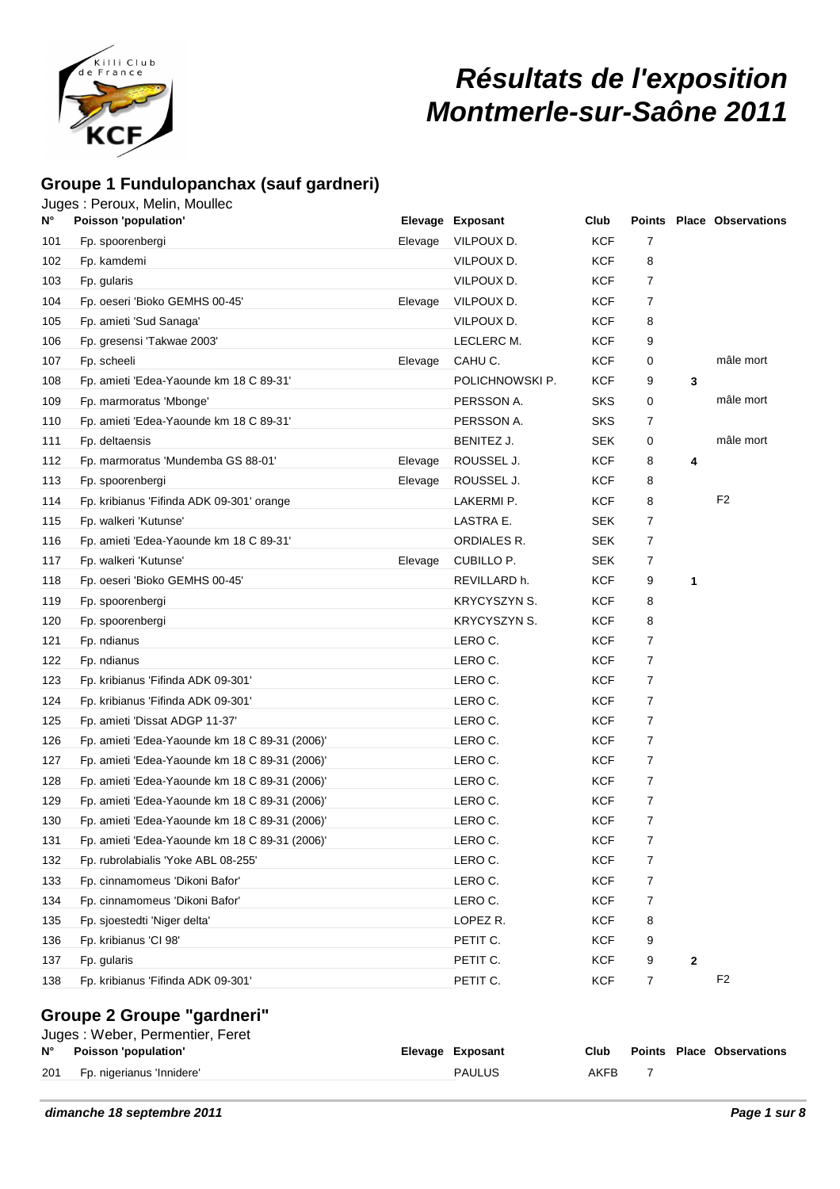

# **Résultats de l'exposition Montmerle-sur-Saône 2011**

### **Groupe 1 Fundulopanchax (sauf gardneri)**

Juges : Peroux, Melin, Moullec

| N°  | Poisson 'population'                           |         | Elevage Exposant    | Club       |                |              | <b>Points Place Observations</b> |
|-----|------------------------------------------------|---------|---------------------|------------|----------------|--------------|----------------------------------|
| 101 | Fp. spoorenbergi                               | Elevage | VILPOUX D.          | <b>KCF</b> | 7              |              |                                  |
| 102 | Fp. kamdemi                                    |         | VILPOUX D.          | <b>KCF</b> | 8              |              |                                  |
| 103 | Fp. gularis                                    |         | VILPOUX D.          | KCF        | $\overline{7}$ |              |                                  |
| 104 | Fp. oeseri 'Bioko GEMHS 00-45'                 | Elevage | VILPOUX D.          | <b>KCF</b> | 7              |              |                                  |
| 105 | Fp. amieti 'Sud Sanaga'                        |         | VILPOUX D.          | KCF        | 8              |              |                                  |
| 106 | Fp. gresensi 'Takwae 2003'                     |         | LECLERC M.          | <b>KCF</b> | 9              |              |                                  |
| 107 | Fp. scheeli                                    | Elevage | CAHU C.             | KCF        | 0              |              | mâle mort                        |
| 108 | Fp. amieti 'Edea-Yaounde km 18 C 89-31'        |         | POLICHNOWSKI P.     | <b>KCF</b> | 9              | 3            |                                  |
| 109 | Fp. marmoratus 'Mbonge'                        |         | PERSSON A.          | SKS        | 0              |              | mâle mort                        |
| 110 | Fp. amieti 'Edea-Yaounde km 18 C 89-31'        |         | PERSSON A.          | <b>SKS</b> | $\overline{7}$ |              |                                  |
| 111 | Fp. deltaensis                                 |         | BENITEZ J.          | <b>SEK</b> | 0              |              | mâle mort                        |
| 112 | Fp. marmoratus 'Mundemba GS 88-01'             | Elevage | ROUSSEL J.          | <b>KCF</b> | 8              | 4            |                                  |
| 113 | Fp. spoorenbergi                               | Elevage | ROUSSEL J.          | <b>KCF</b> | 8              |              |                                  |
| 114 | Fp. kribianus 'Fifinda ADK 09-301' orange      |         | LAKERMI P.          | <b>KCF</b> | 8              |              | F <sub>2</sub>                   |
| 115 | Fp. walkeri 'Kutunse'                          |         | LASTRA E.           | <b>SEK</b> | $\overline{7}$ |              |                                  |
| 116 | Fp. amieti 'Edea-Yaounde km 18 C 89-31'        |         | ORDIALES R.         | <b>SEK</b> | 7              |              |                                  |
| 117 | Fp. walkeri 'Kutunse'                          | Elevage | CUBILLO P.          | <b>SEK</b> | 7              |              |                                  |
| 118 | Fp. oeseri 'Bioko GEMHS 00-45'                 |         | REVILLARD h.        | <b>KCF</b> | 9              | 1            |                                  |
| 119 | Fp. spoorenbergi                               |         | <b>KRYCYSZYN S.</b> | KCF        | 8              |              |                                  |
| 120 | Fp. spoorenbergi                               |         | <b>KRYCYSZYN S.</b> | KCF        | 8              |              |                                  |
| 121 | Fp. ndianus                                    |         | LERO C.             | KCF        | 7              |              |                                  |
| 122 | Fp. ndianus                                    |         | LERO C.             | <b>KCF</b> | 7              |              |                                  |
| 123 | Fp. kribianus 'Fifinda ADK 09-301'             |         | LERO C.             | <b>KCF</b> | 7              |              |                                  |
| 124 | Fp. kribianus 'Fifinda ADK 09-301'             |         | LERO C.             | KCF        | $\overline{7}$ |              |                                  |
| 125 | Fp. amieti 'Dissat ADGP 11-37'                 |         | LERO C.             | KCF        | $\overline{7}$ |              |                                  |
| 126 | Fp. amieti 'Edea-Yaounde km 18 C 89-31 (2006)' |         | LERO C.             | <b>KCF</b> | $\overline{7}$ |              |                                  |
| 127 | Fp. amieti 'Edea-Yaounde km 18 C 89-31 (2006)' |         | LERO C.             | <b>KCF</b> | 7              |              |                                  |
| 128 | Fp. amieti 'Edea-Yaounde km 18 C 89-31 (2006)' |         | LERO C.             | KCF        | 7              |              |                                  |
| 129 | Fp. amieti 'Edea-Yaounde km 18 C 89-31 (2006)' |         | LERO C.             | <b>KCF</b> | $\overline{7}$ |              |                                  |
| 130 | Fp. amieti 'Edea-Yaounde km 18 C 89-31 (2006)' |         | LERO C.             | KCF        | 7              |              |                                  |
| 131 | Fp. amieti 'Edea-Yaounde km 18 C 89-31 (2006)' |         | LERO C.             | KCF        | 7              |              |                                  |
| 132 | Fp. rubrolabialis 'Yoke ABL 08-255'            |         | LERO C.             | <b>KCF</b> | 7              |              |                                  |
| 133 | Fp. cinnamomeus 'Dikoni Bafor'                 |         | LERO C.             | <b>KCF</b> | 7              |              |                                  |
| 134 | Fp. cinnamomeus 'Dikoni Bafor'                 |         | LERO C.             | <b>KCF</b> | 7              |              |                                  |
| 135 | Fp. sjoestedti 'Niger delta'                   |         | LOPEZ R.            | <b>KCF</b> | 8              |              |                                  |
| 136 | Fp. kribianus 'CI 98'                          |         | PETIT C.            | <b>KCF</b> | 9              |              |                                  |
| 137 | Fp. gularis                                    |         | PETIT C.            | <b>KCF</b> | 9              | $\mathbf{2}$ |                                  |
| 138 | Fp. kribianus 'Fifinda ADK 09-301'             |         | PETIT C.            | <b>KCF</b> | 7              |              | F <sub>2</sub>                   |
|     | Crouno 2 Crouno "agrdnori"                     |         |                     |            |                |              |                                  |

#### **Groupe 2 Groupe "gardneri"** Juges : Weber, Permentier, Feret

|     | 00900. WOOOI, I CHILOHUOI, I OIOU<br>N° Poisson 'population' | Elevage Exposant | Club |  | Points Place Observations |
|-----|--------------------------------------------------------------|------------------|------|--|---------------------------|
| 201 | Fp. nigerianus 'Innidere'                                    | <b>PAULUS</b>    | AKFB |  |                           |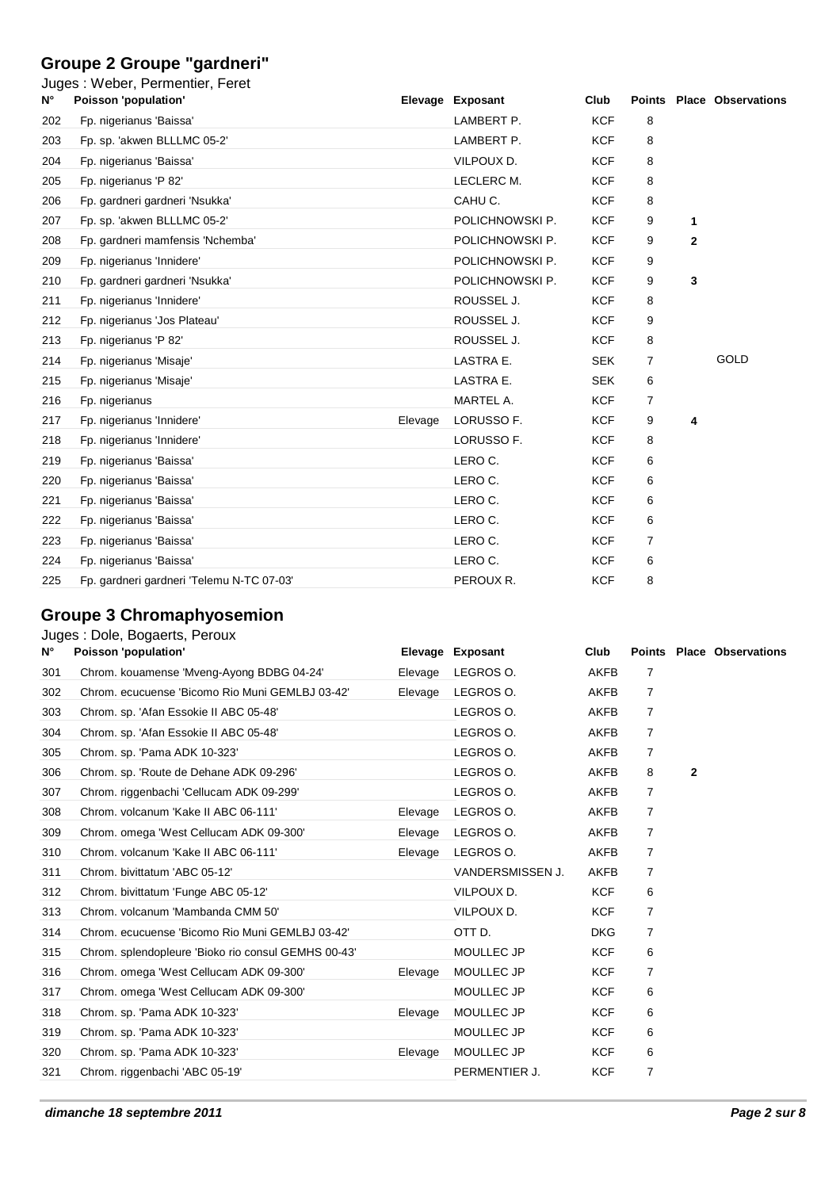# **Groupe 2 Groupe "gardneri"**

| N°  | Juges: Weber, Permentier, Feret<br>Poisson 'population' |         | Elevage Exposant | Club       |   |              | <b>Points Place Observations</b> |
|-----|---------------------------------------------------------|---------|------------------|------------|---|--------------|----------------------------------|
| 202 | Fp. nigerianus 'Baissa'                                 |         | LAMBERT P.       | <b>KCF</b> | 8 |              |                                  |
| 203 | Fp. sp. 'akwen BLLLMC 05-2'                             |         | LAMBERT P.       | <b>KCF</b> | 8 |              |                                  |
| 204 | Fp. nigerianus 'Baissa'                                 |         | VILPOUX D.       | <b>KCF</b> | 8 |              |                                  |
| 205 | Fp. nigerianus 'P 82'                                   |         | LECLERC M.       | <b>KCF</b> | 8 |              |                                  |
| 206 | Fp. gardneri gardneri 'Nsukka'                          |         | CAHU C.          | <b>KCF</b> | 8 |              |                                  |
| 207 | Fp. sp. 'akwen BLLLMC 05-2'                             |         | POLICHNOWSKI P.  | <b>KCF</b> | 9 | 1            |                                  |
| 208 | Fp. gardneri mamfensis 'Nchemba'                        |         | POLICHNOWSKI P.  | <b>KCF</b> | 9 | $\mathbf{2}$ |                                  |
| 209 | Fp. nigerianus 'Innidere'                               |         | POLICHNOWSKI P.  | <b>KCF</b> | 9 |              |                                  |
| 210 | Fp. gardneri gardneri 'Nsukka'                          |         | POLICHNOWSKI P.  | <b>KCF</b> | 9 | 3            |                                  |
| 211 | Fp. nigerianus 'Innidere'                               |         | ROUSSEL J.       | <b>KCF</b> | 8 |              |                                  |
| 212 | Fp. nigerianus 'Jos Plateau'                            |         | ROUSSEL J.       | <b>KCF</b> | 9 |              |                                  |
| 213 | Fp. nigerianus 'P 82'                                   |         | ROUSSEL J.       | <b>KCF</b> | 8 |              |                                  |
| 214 | Fp. nigerianus 'Misaje'                                 |         | LASTRA E.        | <b>SEK</b> | 7 |              | GOLD                             |
| 215 | Fp. nigerianus 'Misaje'                                 |         | LASTRA E.        | <b>SEK</b> | 6 |              |                                  |
| 216 | Fp. nigerianus                                          |         | MARTEL A.        | <b>KCF</b> | 7 |              |                                  |
| 217 | Fp. nigerianus 'Innidere'                               | Elevage | LORUSSO F.       | <b>KCF</b> | 9 | 4            |                                  |
| 218 | Fp. nigerianus 'Innidere'                               |         | LORUSSO F.       | <b>KCF</b> | 8 |              |                                  |
| 219 | Fp. nigerianus 'Baissa'                                 |         | LERO C.          | <b>KCF</b> | 6 |              |                                  |
| 220 | Fp. nigerianus 'Baissa'                                 |         | LERO C.          | <b>KCF</b> | 6 |              |                                  |
| 221 | Fp. nigerianus 'Baissa'                                 |         | LERO C.          | <b>KCF</b> | 6 |              |                                  |
| 222 | Fp. nigerianus 'Baissa'                                 |         | LERO C.          | <b>KCF</b> | 6 |              |                                  |
| 223 | Fp. nigerianus 'Baissa'                                 |         | LERO C.          | <b>KCF</b> | 7 |              |                                  |
| 224 | Fp. nigerianus 'Baissa'                                 |         | LERO C.          | <b>KCF</b> | 6 |              |                                  |
| 225 | Fp. gardneri gardneri 'Telemu N-TC 07-03'               |         | PEROUX R.        | <b>KCF</b> | 8 |              |                                  |

# **Groupe 3 Chromaphyosemion**

| Juges: Dole, Bogaerts, Peroux |  |  |  |
|-------------------------------|--|--|--|
|-------------------------------|--|--|--|

| $N^{\circ}$ | Poisson 'population'                                |         | Elevage Exposant | Club        |                |              | <b>Points Place Observations</b> |
|-------------|-----------------------------------------------------|---------|------------------|-------------|----------------|--------------|----------------------------------|
| 301         | Chrom. kouamense 'Mveng-Ayong BDBG 04-24'           | Elevage | LEGROS O.        | AKFB        | $\overline{7}$ |              |                                  |
| 302         | Chrom. ecucuense 'Bicomo Rio Muni GEMLBJ 03-42'     | Elevage | LEGROS O.        | <b>AKFB</b> | $\overline{7}$ |              |                                  |
| 303         | Chrom. sp. 'Afan Essokie II ABC 05-48'              |         | LEGROS O.        | <b>AKFB</b> | 7              |              |                                  |
| 304         | Chrom. sp. 'Afan Essokie II ABC 05-48'              |         | LEGROS O.        | AKFB        | 7              |              |                                  |
| 305         | Chrom. sp. 'Pama ADK 10-323'                        |         | LEGROS O.        | AKFB        | $\overline{7}$ |              |                                  |
| 306         | Chrom. sp. 'Route de Dehane ADK 09-296'             |         | LEGROS O.        | <b>AKFB</b> | 8              | $\mathbf{2}$ |                                  |
| 307         | Chrom. riggenbachi 'Cellucam ADK 09-299'            |         | LEGROS O.        | <b>AKFB</b> | 7              |              |                                  |
| 308         | Chrom. volcanum 'Kake II ABC 06-111'                | Elevage | LEGROS O.        | AKFB        | 7              |              |                                  |
| 309         | Chrom. omega 'West Cellucam ADK 09-300'             | Elevage | LEGROS O.        | AKFB        | $\overline{7}$ |              |                                  |
| 310         | Chrom. volcanum 'Kake II ABC 06-111'                | Elevage | LEGROS O.        | <b>AKFB</b> | $\overline{7}$ |              |                                  |
| 311         | Chrom. bivittatum 'ABC 05-12'                       |         | VANDERSMISSEN J. | AKFB        | 7              |              |                                  |
| 312         | Chrom. bivittatum 'Funge ABC 05-12'                 |         | VILPOUX D.       | <b>KCF</b>  | 6              |              |                                  |
| 313         | Chrom, volcanum 'Mambanda CMM 50'                   |         | VILPOUX D.       | <b>KCF</b>  | 7              |              |                                  |
| 314         | Chrom. ecucuense 'Bicomo Rio Muni GEMLBJ 03-42'     |         | OTT D.           | <b>DKG</b>  | 7              |              |                                  |
| 315         | Chrom. splendopleure 'Bioko rio consul GEMHS 00-43' |         | MOULLEC JP       | <b>KCF</b>  | 6              |              |                                  |
| 316         | Chrom. omega 'West Cellucam ADK 09-300'             | Elevage | MOULLEC JP       | <b>KCF</b>  | 7              |              |                                  |
| 317         | Chrom. omega 'West Cellucam ADK 09-300'             |         | MOULLEC JP       | <b>KCF</b>  | 6              |              |                                  |
| 318         | Chrom. sp. 'Pama ADK 10-323'                        | Elevage | MOULLEC JP       | <b>KCF</b>  | 6              |              |                                  |
| 319         | Chrom. sp. 'Pama ADK 10-323'                        |         | MOULLEC JP       | <b>KCF</b>  | 6              |              |                                  |
| 320         | Chrom. sp. 'Pama ADK 10-323'                        | Elevage | MOULLEC JP       | <b>KCF</b>  | 6              |              |                                  |
| 321         | Chrom. riggenbachi 'ABC 05-19'                      |         | PERMENTIER J.    | <b>KCF</b>  | 7              |              |                                  |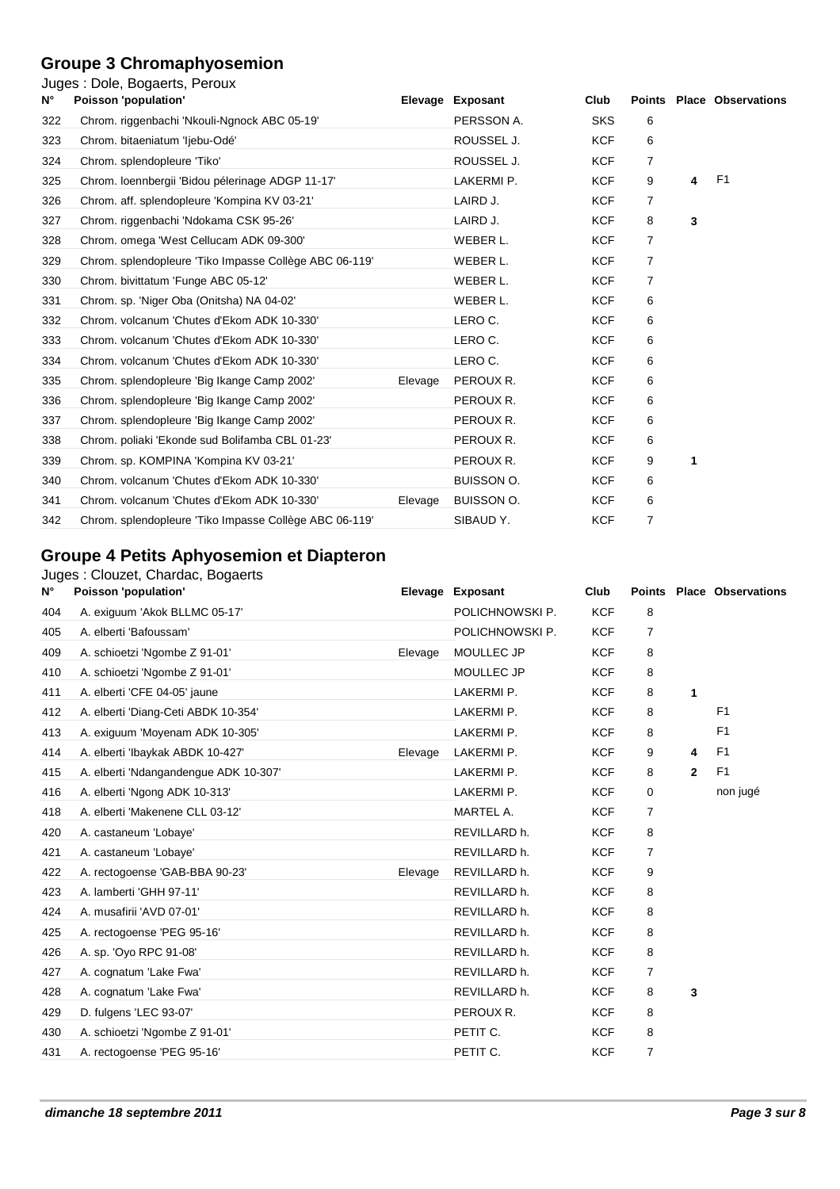#### **Groupe 3 Chromaphyosemion**

#### Juges : Dole, Bogaerts, Peroux

| N°  | Poisson 'population'                                   |         | Elevage Exposant | Club       |                |   | <b>Points Place Observations</b> |
|-----|--------------------------------------------------------|---------|------------------|------------|----------------|---|----------------------------------|
| 322 | Chrom. riggenbachi 'Nkouli-Ngnock ABC 05-19'           |         | PERSSON A.       | <b>SKS</b> | 6              |   |                                  |
| 323 | Chrom. bitaeniatum 'ljebu-Odé'                         |         | ROUSSEL J.       | <b>KCF</b> | 6              |   |                                  |
| 324 | Chrom. splendopleure 'Tiko'                            |         | ROUSSEL J.       | <b>KCF</b> | $\overline{7}$ |   |                                  |
| 325 | Chrom. loennbergii 'Bidou pélerinage ADGP 11-17'       |         | LAKERMI P.       | <b>KCF</b> | 9              | 4 | F <sub>1</sub>                   |
| 326 | Chrom. aff. splendopleure 'Kompina KV 03-21'           |         | LAIRD J.         | <b>KCF</b> | $\overline{7}$ |   |                                  |
| 327 | Chrom. riggenbachi 'Ndokama CSK 95-26'                 |         | LAIRD J.         | <b>KCF</b> | 8              | 3 |                                  |
| 328 | Chrom. omega 'West Cellucam ADK 09-300'                |         | WEBER L.         | <b>KCF</b> | 7              |   |                                  |
| 329 | Chrom. splendopleure 'Tiko Impasse Collège ABC 06-119' |         | WEBER L.         | <b>KCF</b> | 7              |   |                                  |
| 330 | Chrom. bivittatum 'Funge ABC 05-12'                    |         | WEBER L.         | <b>KCF</b> | 7              |   |                                  |
| 331 | Chrom. sp. 'Niger Oba (Onitsha) NA 04-02'              |         | WEBER L.         | <b>KCF</b> | 6              |   |                                  |
| 332 | Chrom, volcanum 'Chutes d'Ekom ADK 10-330'             |         | LERO C.          | <b>KCF</b> | 6              |   |                                  |
| 333 | Chrom. volcanum 'Chutes d'Ekom ADK 10-330'             |         | LERO C.          | <b>KCF</b> | 6              |   |                                  |
| 334 | Chrom. volcanum 'Chutes d'Ekom ADK 10-330'             |         | LERO C.          | <b>KCF</b> | 6              |   |                                  |
| 335 | Chrom. splendopleure 'Big Ikange Camp 2002'            | Elevage | PEROUX R.        | <b>KCF</b> | 6              |   |                                  |
| 336 | Chrom. splendopleure 'Big Ikange Camp 2002'            |         | PEROUX R.        | <b>KCF</b> | 6              |   |                                  |
| 337 | Chrom. splendopleure 'Big Ikange Camp 2002'            |         | PEROUX R.        | <b>KCF</b> | 6              |   |                                  |
| 338 | Chrom. poliaki 'Ekonde sud Bolifamba CBL 01-23'        |         | PEROUX R.        | <b>KCF</b> | 6              |   |                                  |
| 339 | Chrom. sp. KOMPINA 'Kompina KV 03-21'                  |         | PEROUX R.        | <b>KCF</b> | 9              | 1 |                                  |
| 340 | Chrom, volcanum 'Chutes d'Ekom ADK 10-330'             |         | BUISSON O.       | <b>KCF</b> | 6              |   |                                  |
| 341 | Chrom. volcanum 'Chutes d'Ekom ADK 10-330'             | Elevage | BUISSON O.       | <b>KCF</b> | 6              |   |                                  |
| 342 | Chrom. splendopleure 'Tiko Impasse Collège ABC 06-119' |         | SIBAUD Y.        | <b>KCF</b> | 7              |   |                                  |
|     |                                                        |         |                  |            |                |   |                                  |

### **Groupe 4 Petits Aphyosemion et Diapteron**

#### Juges : Clouzet, Chardac, Bogaerts

| $N^{\circ}$ | Poisson 'population'                  | Elevage | Exposant        | Club       | <b>Points</b>  |              | <b>Place Observations</b> |
|-------------|---------------------------------------|---------|-----------------|------------|----------------|--------------|---------------------------|
| 404         | A. exiguum 'Akok BLLMC 05-17'         |         | POLICHNOWSKI P. | <b>KCF</b> | 8              |              |                           |
| 405         | A. elberti 'Bafoussam'                |         | POLICHNOWSKI P. | <b>KCF</b> | 7              |              |                           |
| 409         | A. schioetzi 'Ngombe Z 91-01'         | Elevage | MOULLEC JP      | <b>KCF</b> | 8              |              |                           |
| 410         | A. schioetzi 'Ngombe Z 91-01'         |         | MOULLEC JP      | <b>KCF</b> | 8              |              |                           |
| 411         | A. elberti 'CFE 04-05' jaune          |         | LAKERMI P.      | <b>KCF</b> | 8              | 1            |                           |
| 412         | A. elberti 'Diang-Ceti ABDK 10-354'   |         | LAKERMI P.      | <b>KCF</b> | 8              |              | F <sub>1</sub>            |
| 413         | A. exiguum 'Moyenam ADK 10-305'       |         | LAKERMI P.      | <b>KCF</b> | 8              |              | F <sub>1</sub>            |
| 414         | A. elberti 'lbaykak ABDK 10-427'      | Elevage | LAKERMI P.      | <b>KCF</b> | 9              | 4            | F <sub>1</sub>            |
| 415         | A. elberti 'Ndangandengue ADK 10-307' |         | LAKERMI P.      | <b>KCF</b> | 8              | $\mathbf{2}$ | F <sub>1</sub>            |
| 416         | A. elberti 'Ngong ADK 10-313'         |         | LAKERMI P.      | <b>KCF</b> | 0              |              | non jugé                  |
| 418         | A. elberti 'Makenene CLL 03-12'       |         | MARTEL A.       | <b>KCF</b> | 7              |              |                           |
| 420         | A. castaneum 'Lobaye'                 |         | REVILLARD h.    | <b>KCF</b> | 8              |              |                           |
| 421         | A. castaneum 'Lobaye'                 |         | REVILLARD h.    | <b>KCF</b> | 7              |              |                           |
| 422         | A. rectogoense 'GAB-BBA 90-23'        | Elevage | REVILLARD h.    | <b>KCF</b> | 9              |              |                           |
| 423         | A. lamberti 'GHH 97-11'               |         | REVILLARD h.    | <b>KCF</b> | 8              |              |                           |
| 424         | A. musafirii 'AVD 07-01'              |         | REVILLARD h.    | <b>KCF</b> | 8              |              |                           |
| 425         | A. rectogoense 'PEG 95-16'            |         | REVILLARD h.    | <b>KCF</b> | 8              |              |                           |
| 426         | A. sp. 'Oyo RPC 91-08'                |         | REVILLARD h.    | <b>KCF</b> | 8              |              |                           |
| 427         | A. cognatum 'Lake Fwa'                |         | REVILLARD h.    | <b>KCF</b> | 7              |              |                           |
| 428         | A. cognatum 'Lake Fwa'                |         | REVILLARD h.    | <b>KCF</b> | 8              | 3            |                           |
| 429         | D. fulgens 'LEC 93-07'                |         | PEROUX R.       | <b>KCF</b> | 8              |              |                           |
| 430         | A. schioetzi 'Ngombe Z 91-01'         |         | PETIT C.        | <b>KCF</b> | 8              |              |                           |
| 431         | A. rectogoense 'PEG 95-16'            |         | PETIT C.        | <b>KCF</b> | $\overline{7}$ |              |                           |
|             |                                       |         |                 |            |                |              |                           |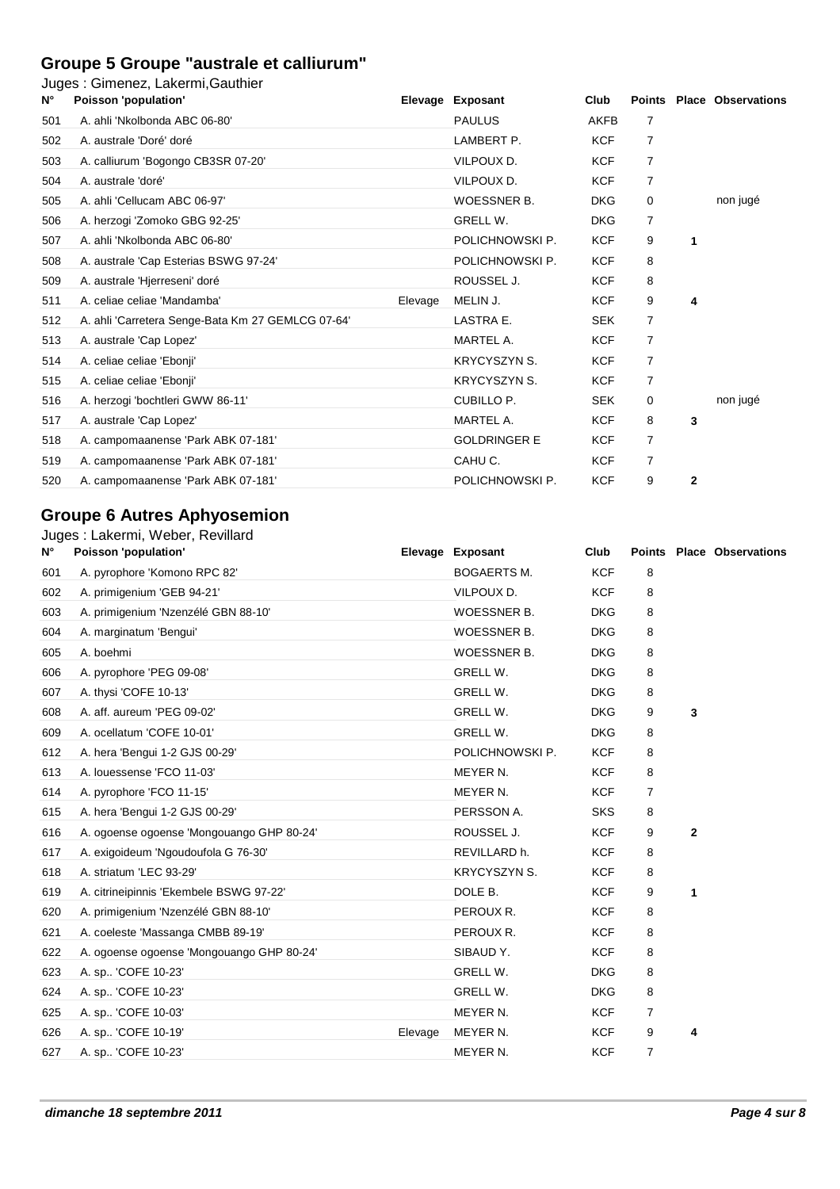### **Groupe 5 Groupe "australe et calliurum"**

Juges : Gimenez, Lakermi,Gauthier

|             | 。. …………………………………………                               |         |                     |             |                |                |                                  |
|-------------|---------------------------------------------------|---------|---------------------|-------------|----------------|----------------|----------------------------------|
| $N^{\circ}$ | Poisson 'population'                              |         | Elevage Exposant    | Club        |                |                | <b>Points Place Observations</b> |
| 501         | A. ahli 'Nkolbonda ABC 06-80'                     |         | <b>PAULUS</b>       | <b>AKFB</b> | 7              |                |                                  |
| 502         | A. australe 'Doré' doré                           |         | LAMBERT P.          | <b>KCF</b>  | $\overline{7}$ |                |                                  |
| 503         | A. calliurum 'Bogongo CB3SR 07-20'                |         | VILPOUX D.          | <b>KCF</b>  | 7              |                |                                  |
| 504         | A. australe 'doré'                                |         | VILPOUX D.          | <b>KCF</b>  | 7              |                |                                  |
| 505         | A. ahli 'Cellucam ABC 06-97'                      |         | <b>WOESSNER B.</b>  | <b>DKG</b>  | $\Omega$       |                | non jugé                         |
| 506         | A. herzogi 'Zomoko GBG 92-25'                     |         | GRELL W.            | <b>DKG</b>  | 7              |                |                                  |
| 507         | A. ahli 'Nkolbonda ABC 06-80'                     |         | POLICHNOWSKI P.     | <b>KCF</b>  | 9              | $\mathbf{1}$   |                                  |
| 508         | A. australe 'Cap Esterias BSWG 97-24'             |         | POLICHNOWSKI P.     | <b>KCF</b>  | 8              |                |                                  |
| 509         | A. australe 'Hierreseni' doré                     |         | ROUSSEL J.          | <b>KCF</b>  | 8              |                |                                  |
| 511         | A. celiae celiae 'Mandamba'                       | Elevage | MELIN J.            | <b>KCF</b>  | 9              | 4              |                                  |
| 512         | A. ahli 'Carretera Senge-Bata Km 27 GEMLCG 07-64' |         | LASTRA E.           | <b>SEK</b>  | 7              |                |                                  |
| 513         | A. australe 'Cap Lopez'                           |         | MARTEL A.           | <b>KCF</b>  | 7              |                |                                  |
| 514         | A. celiae celiae 'Ebonji'                         |         | <b>KRYCYSZYN S.</b> | <b>KCF</b>  | 7              |                |                                  |
| 515         | A. celiae celiae 'Ebonji'                         |         | <b>KRYCYSZYN S.</b> | <b>KCF</b>  | 7              |                |                                  |
| 516         | A. herzogi 'bochtleri GWW 86-11'                  |         | CUBILLO P.          | <b>SEK</b>  | 0              |                | non jugé                         |
| 517         | A. australe 'Cap Lopez'                           |         | MARTEL A.           | <b>KCF</b>  | 8              | 3              |                                  |
| 518         | A. campomaanense 'Park ABK 07-181'                |         | <b>GOLDRINGER E</b> | <b>KCF</b>  | 7              |                |                                  |
| 519         | A. campomaanense 'Park ABK 07-181'                |         | CAHU C.             | <b>KCF</b>  | 7              |                |                                  |
| 520         | A. campomaanense 'Park ABK 07-181'                |         | POLICHNOWSKI P.     | <b>KCF</b>  | 9              | $\overline{2}$ |                                  |
|             |                                                   |         |                     |             |                |                |                                  |

#### **Groupe 6 Autres Aphyosemion**

| N°  | Juges: Lakermi, Weber, Revillard<br>Poisson 'population' |         | Elevage Exposant    | Club       |                |                | <b>Points Place Observations</b> |
|-----|----------------------------------------------------------|---------|---------------------|------------|----------------|----------------|----------------------------------|
| 601 | A. pyrophore 'Komono RPC 82'                             |         | <b>BOGAERTS M.</b>  | <b>KCF</b> | 8              |                |                                  |
| 602 | A. primigenium 'GEB 94-21'                               |         | VILPOUX D.          | <b>KCF</b> | 8              |                |                                  |
| 603 | A. primigenium 'Nzenzélé GBN 88-10'                      |         | WOESSNER B.         | <b>DKG</b> | 8              |                |                                  |
| 604 | A. marginatum 'Bengui'                                   |         | <b>WOESSNER B.</b>  | <b>DKG</b> | 8              |                |                                  |
| 605 | A. boehmi                                                |         | WOESSNER B.         | <b>DKG</b> | 8              |                |                                  |
| 606 | A. pyrophore 'PEG 09-08'                                 |         | GRELL W.            | <b>DKG</b> | 8              |                |                                  |
| 607 | A. thysi 'COFE 10-13'                                    |         | GRELL W.            | <b>DKG</b> | 8              |                |                                  |
| 608 | A. aff. aureum 'PEG 09-02'                               |         | GRELL W.            | <b>DKG</b> | 9              | 3              |                                  |
| 609 | A. ocellatum 'COFE 10-01'                                |         | GRELL W.            | <b>DKG</b> | 8              |                |                                  |
| 612 | A. hera 'Bengui 1-2 GJS 00-29'                           |         | POLICHNOWSKI P.     | <b>KCF</b> | 8              |                |                                  |
| 613 | A. louessense 'FCO 11-03'                                |         | MEYER N.            | <b>KCF</b> | 8              |                |                                  |
| 614 | A. pyrophore 'FCO 11-15'                                 |         | MEYER N.            | <b>KCF</b> | $\overline{7}$ |                |                                  |
| 615 | A. hera 'Bengui 1-2 GJS 00-29'                           |         | PERSSON A.          | <b>SKS</b> | 8              |                |                                  |
| 616 | A. ogoense ogoense 'Mongouango GHP 80-24'                |         | ROUSSEL J.          | <b>KCF</b> | 9              | $\overline{2}$ |                                  |
| 617 | A. exigoideum 'Ngoudoufola G 76-30'                      |         | REVILLARD h.        | <b>KCF</b> | 8              |                |                                  |
| 618 | A. striatum 'LEC 93-29'                                  |         | <b>KRYCYSZYN S.</b> | <b>KCF</b> | 8              |                |                                  |
| 619 | A. citrineipinnis 'Ekembele BSWG 97-22'                  |         | DOLE B.             | <b>KCF</b> | 9              | 1              |                                  |
| 620 | A. primigenium 'Nzenzélé GBN 88-10'                      |         | PEROUX R.           | <b>KCF</b> | 8              |                |                                  |
| 621 | A. coeleste 'Massanga CMBB 89-19'                        |         | PEROUX R.           | <b>KCF</b> | 8              |                |                                  |
| 622 | A. ogoense ogoense 'Mongouango GHP 80-24'                |         | SIBAUD Y.           | <b>KCF</b> | 8              |                |                                  |
| 623 | A. sp., 'COFE 10-23'                                     |         | GRELL W.            | <b>DKG</b> | 8              |                |                                  |
| 624 | A. sp 'COFE 10-23'                                       |         | <b>GRELL W.</b>     | <b>DKG</b> | 8              |                |                                  |
| 625 | A. sp 'COFE 10-03'                                       |         | MEYER N.            | <b>KCF</b> | $\overline{7}$ |                |                                  |
| 626 | A. sp., 'COFE 10-19'                                     | Elevage | MEYER N.            | <b>KCF</b> | 9              | 4              |                                  |
| 627 | A. sp 'COFE 10-23'                                       |         | MEYER N.            | <b>KCF</b> | $\overline{7}$ |                |                                  |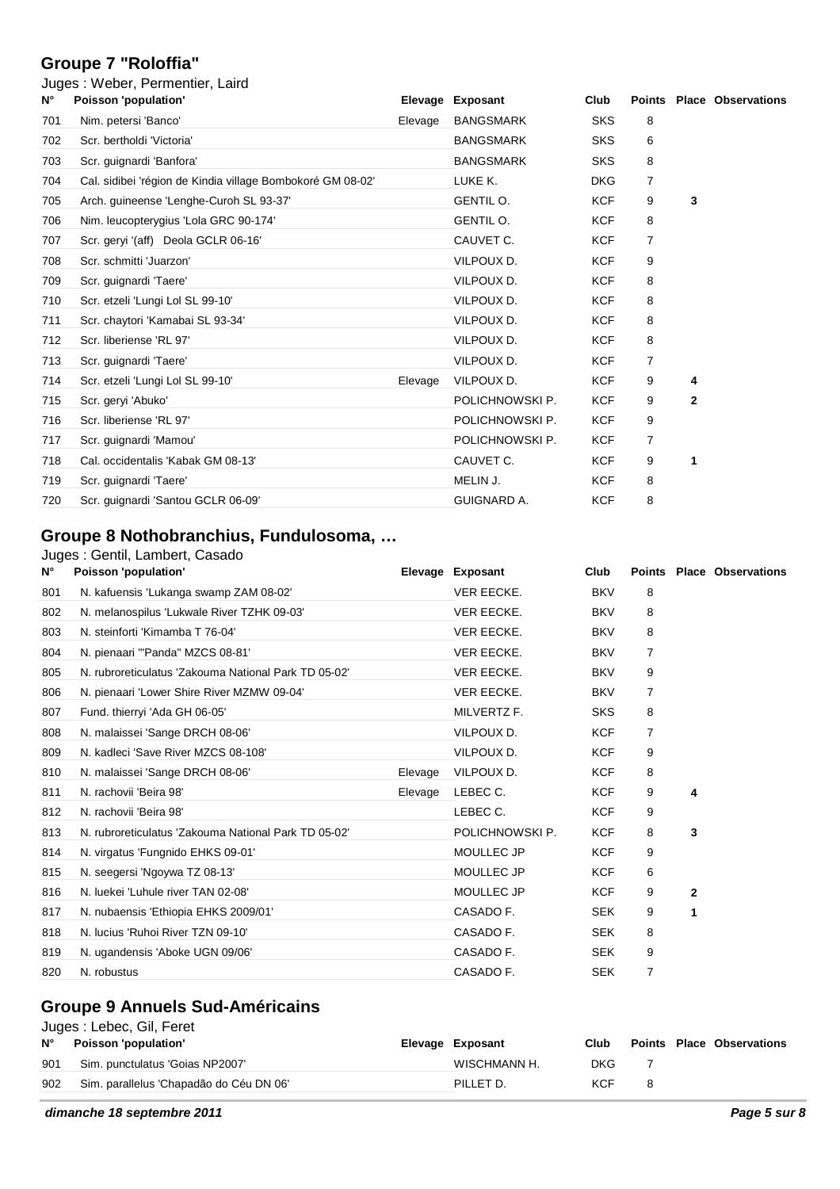#### **Groupe 7 "Roloffia"**

|             | Juges: Weber, Permentier, Laird                            |         |                  |            |                |              |                                  |
|-------------|------------------------------------------------------------|---------|------------------|------------|----------------|--------------|----------------------------------|
| $N^{\circ}$ | Poisson 'population'                                       |         | Elevage Exposant | Club       |                |              | <b>Points Place Observations</b> |
| 701         | Nim. petersi 'Banco'                                       | Elevage | <b>BANGSMARK</b> | <b>SKS</b> | 8              |              |                                  |
| 702         | Scr. bertholdi 'Victoria'                                  |         | <b>BANGSMARK</b> | <b>SKS</b> | 6              |              |                                  |
| 703         | Scr. guignardi 'Banfora'                                   |         | <b>BANGSMARK</b> | <b>SKS</b> | 8              |              |                                  |
| 704         | Cal. sidibei 'région de Kindia village Bombokoré GM 08-02' |         | LUKE K.          | <b>DKG</b> | $\overline{7}$ |              |                                  |
| 705         | Arch. guineense 'Lenghe-Curoh SL 93-37'                    |         | GENTIL O.        | <b>KCF</b> | 9              | 3            |                                  |
| 706         | Nim. leucopterygius 'Lola GRC 90-174'                      |         | GENTIL O.        | <b>KCF</b> | 8              |              |                                  |
| 707         | Scr. geryi '(aff) Deola GCLR 06-16'                        |         | CAUVET C.        | <b>KCF</b> | 7              |              |                                  |
| 708         | Scr. schmitti 'Juarzon'                                    |         | VILPOUX D.       | <b>KCF</b> | 9              |              |                                  |
| 709         | Scr. guignardi 'Taere'                                     |         | VILPOUX D.       | <b>KCF</b> | 8              |              |                                  |
| 710         | Scr. etzeli 'Lungi Lol SL 99-10'                           |         | VILPOUX D.       | <b>KCF</b> | 8              |              |                                  |
| 711         | Scr. chaytori 'Kamabai SL 93-34'                           |         | VILPOUX D.       | <b>KCF</b> | 8              |              |                                  |
| 712         | Scr. liberiense 'RL 97'                                    |         | VILPOUX D.       | <b>KCF</b> | 8              |              |                                  |
| 713         | Scr. guignardi 'Taere'                                     |         | VILPOUX D.       | <b>KCF</b> | $\overline{7}$ |              |                                  |
| 714         | Scr. etzeli 'Lungi Lol SL 99-10'                           | Elevage | VILPOUX D.       | <b>KCF</b> | 9              | 4            |                                  |
| 715         | Scr. geryi 'Abuko'                                         |         | POLICHNOWSKI P.  | <b>KCF</b> | 9              | $\mathbf{2}$ |                                  |
| 716         | Scr. liberiense 'RL 97'                                    |         | POLICHNOWSKI P.  | <b>KCF</b> | 9              |              |                                  |
| 717         | Scr. guignardi 'Mamou'                                     |         | POLICHNOWSKI P.  | KCF        | 7              |              |                                  |
| 718         | Cal. occidentalis 'Kabak GM 08-13'                         |         | CAUVET C.        | <b>KCF</b> | 9              | 1            |                                  |
| 719         | Scr. guignardi 'Taere'                                     |         | MELIN J.         | <b>KCF</b> | 8              |              |                                  |
| 720         | Scr. guignardi 'Santou GCLR 06-09'                         |         | GUIGNARD A.      | <b>KCF</b> | 8              |              |                                  |
|             |                                                            |         |                  |            |                |              |                                  |

### **Groupe 8 Nothobranchius, Fundulosoma, …**

#### Juges : Gentil, Lambert, Casado

| $N^{\circ}$ | Poisson 'population'                                 |         | Elevage Exposant  | Club       |   |                | <b>Points Place Observations</b> |
|-------------|------------------------------------------------------|---------|-------------------|------------|---|----------------|----------------------------------|
| 801         | N. kafuensis 'Lukanga swamp ZAM 08-02'               |         | <b>VER EECKE.</b> | <b>BKV</b> | 8 |                |                                  |
| 802         | N. melanospilus 'Lukwale River TZHK 09-03'           |         | <b>VER EECKE.</b> | <b>BKV</b> | 8 |                |                                  |
| 803         | N. steinforti 'Kimamba T 76-04'                      |         | VER EECKE.        | <b>BKV</b> | 8 |                |                                  |
| 804         | N. pienaari "Panda" MZCS 08-81'                      |         | VER EECKE.        | <b>BKV</b> | 7 |                |                                  |
| 805         | N. rubroreticulatus 'Zakouma National Park TD 05-02' |         | VER EECKE.        | <b>BKV</b> | 9 |                |                                  |
| 806         | N. pienaari 'Lower Shire River MZMW 09-04'           |         | VER EECKE.        | <b>BKV</b> | 7 |                |                                  |
| 807         | Fund. thierryi 'Ada GH 06-05'                        |         | MILVERTZ F.       | <b>SKS</b> | 8 |                |                                  |
| 808         | N. malaissei 'Sange DRCH 08-06'                      |         | VILPOUX D.        | <b>KCF</b> | 7 |                |                                  |
| 809         | N. kadleci 'Save River MZCS 08-108'                  |         | VILPOUX D.        | <b>KCF</b> | 9 |                |                                  |
| 810         | N. malaissei 'Sange DRCH 08-06'                      | Elevage | VILPOUX D.        | <b>KCF</b> | 8 |                |                                  |
| 811         | N. rachovii 'Beira 98'                               | Elevage | LEBEC C.          | KCF        | 9 | 4              |                                  |
| 812         | N. rachovii 'Beira 98'                               |         | LEBEC C.          | <b>KCF</b> | 9 |                |                                  |
| 813         | N. rubroreticulatus 'Zakouma National Park TD 05-02' |         | POLICHNOWSKI P.   | <b>KCF</b> | 8 | 3              |                                  |
| 814         | N. virgatus 'Fungnido EHKS 09-01'                    |         | MOULLEC JP        | <b>KCF</b> | 9 |                |                                  |
| 815         | N. seegersi 'Ngoywa TZ 08-13'                        |         | MOULLEC JP        | <b>KCF</b> | 6 |                |                                  |
| 816         | N. luekei 'Luhule river TAN 02-08'                   |         | MOULLEC JP        | <b>KCF</b> | 9 | $\overline{2}$ |                                  |
| 817         | N. nubaensis 'Ethiopia EHKS 2009/01'                 |         | CASADO F.         | <b>SEK</b> | 9 | 1              |                                  |
| 818         | N. lucius 'Ruhoi River TZN 09-10'                    |         | CASADO F.         | <b>SEK</b> | 8 |                |                                  |
| 819         | N. ugandensis 'Aboke UGN 09/06'                      |         | CASADO F.         | <b>SEK</b> | 9 |                |                                  |
| 820         | N. robustus                                          |         | CASADO F.         | <b>SEK</b> | 7 |                |                                  |

### **Groupe 9 Annuels Sud-Américains**

| Juges: Lebec, Gil, Feret |  |
|--------------------------|--|
|--------------------------|--|

| $N^{\circ}$ | Poisson 'population'                    | Elevage Exposant | Club |   | <b>Points Place Observations</b> |
|-------------|-----------------------------------------|------------------|------|---|----------------------------------|
| 901         | Sim. punctulatus 'Goias NP2007'         | WISCHMANN H.     | DKG. |   |                                  |
| 902         | Sim. parallelus 'Chapadão do Céu DN 06' | PILLET D.        | KCF  | 8 |                                  |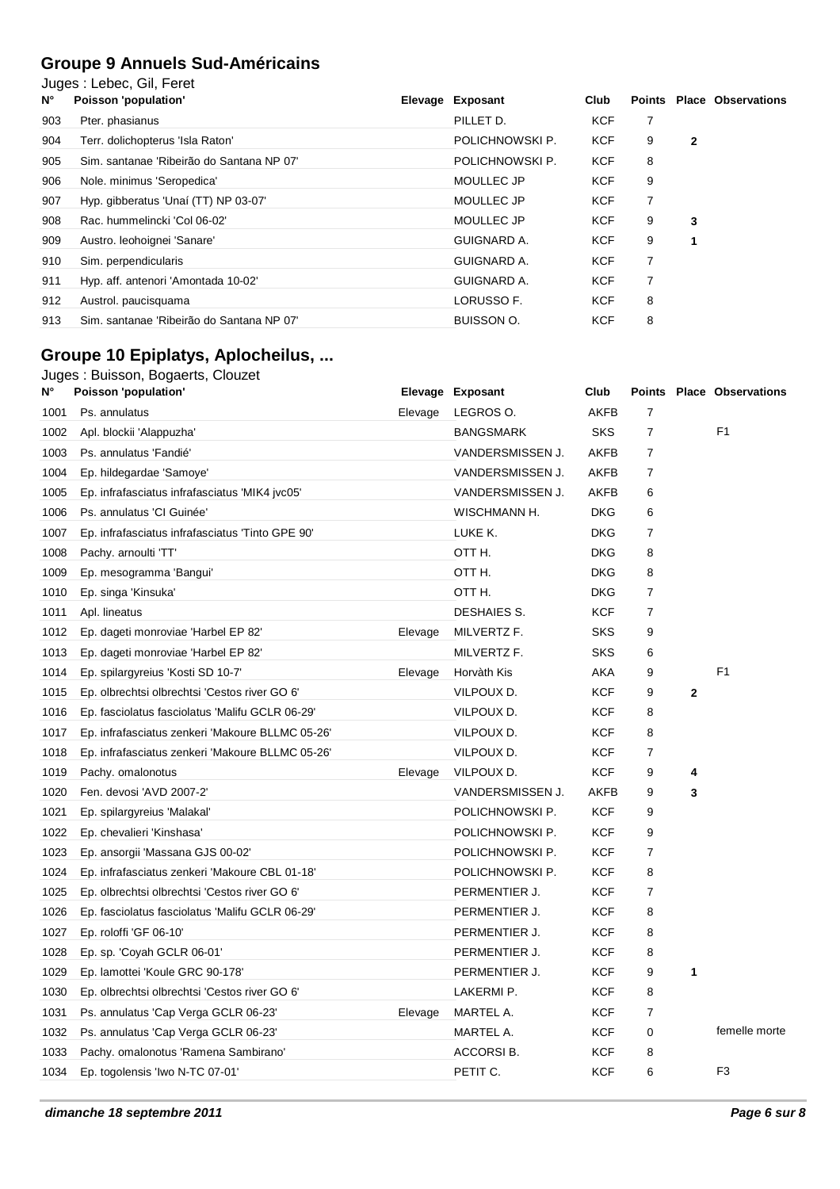### **Groupe 9 Annuels Sud-Américains**

Juges : Lebec, Gil, Feret

| Ν°  | Poisson 'population'                      | Elevage Exposant  | Club       | Points |   | <b>Place Observations</b> |
|-----|-------------------------------------------|-------------------|------------|--------|---|---------------------------|
| 903 | Pter. phasianus                           | PILLET D.         | <b>KCF</b> | 7      |   |                           |
| 904 | Terr. dolichopterus 'Isla Raton'          | POLICHNOWSKI P.   | <b>KCF</b> | 9      | 2 |                           |
| 905 | Sim. santanae 'Ribeirão do Santana NP 07' | POLICHNOWSKI P.   | <b>KCF</b> | 8      |   |                           |
| 906 | Nole. minimus 'Seropedica'                | <b>MOULLEC JP</b> | <b>KCF</b> | 9      |   |                           |
| 907 | Hyp. gibberatus 'Unaí (TT) NP 03-07'      | <b>MOULLEC JP</b> | <b>KCF</b> | 7      |   |                           |
| 908 | Rac. hummelincki 'Col 06-02'              | MOULLEC JP        | <b>KCF</b> | 9      | 3 |                           |
| 909 | Austro. leohoignei 'Sanare'               | GUIGNARD A.       | <b>KCF</b> | 9      |   |                           |
| 910 | Sim. perpendicularis                      | GUIGNARD A.       | <b>KCF</b> | 7      |   |                           |
| 911 | Hyp. aff. antenori 'Amontada 10-02'       | GUIGNARD A.       | <b>KCF</b> |        |   |                           |
| 912 | Austrol. paucisquama                      | LORUSSO F.        | <b>KCF</b> | 8      |   |                           |
| 913 | Sim. santanae 'Ribeirão do Santana NP 07' | <b>BUISSON O.</b> | <b>KCF</b> | 8      |   |                           |

# **Groupe 10 Epiplatys, Aplocheilus, ...**

#### Juges : Buisson, Bogaerts, Clouzet

| N°   | Poisson 'population'                             |         | Elevage Exposant | Club        |                |             | Points Place Observations |
|------|--------------------------------------------------|---------|------------------|-------------|----------------|-------------|---------------------------|
| 1001 | Ps. annulatus                                    | Elevage | LEGROS O.        | <b>AKFB</b> | 7              |             |                           |
| 1002 | Apl. blockii 'Alappuzha'                         |         | <b>BANGSMARK</b> | <b>SKS</b>  | $\overline{7}$ |             | F <sub>1</sub>            |
| 1003 | Ps. annulatus 'Fandié'                           |         | VANDERSMISSEN J. | AKFB        | $\overline{7}$ |             |                           |
| 1004 | Ep. hildegardae 'Samoye'                         |         | VANDERSMISSEN J. | AKFB        | 7              |             |                           |
| 1005 | Ep. infrafasciatus infrafasciatus 'MIK4 jvc05'   |         | VANDERSMISSEN J. | AKFB        | 6              |             |                           |
| 1006 | Ps. annulatus 'CI Guinée'                        |         | WISCHMANN H.     | <b>DKG</b>  | 6              |             |                           |
| 1007 | Ep. infrafasciatus infrafasciatus 'Tinto GPE 90' |         | LUKE K.          | <b>DKG</b>  | 7              |             |                           |
| 1008 | Pachy. arnoulti 'TT'                             |         | OTT H.           | <b>DKG</b>  | 8              |             |                           |
| 1009 | Ep. mesogramma 'Bangui'                          |         | OTT H.           | <b>DKG</b>  | 8              |             |                           |
| 1010 | Ep. singa 'Kinsuka'                              |         | OTT H.           | <b>DKG</b>  | 7              |             |                           |
| 1011 | Apl. lineatus                                    |         | DESHAIES S.      | <b>KCF</b>  | 7              |             |                           |
| 1012 | Ep. dageti monroviae 'Harbel EP 82'              | Elevage | MILVERTZ F.      | SKS         | 9              |             |                           |
| 1013 | Ep. dageti monroviae 'Harbel EP 82'              |         | MILVERTZ F.      | <b>SKS</b>  | 6              |             |                           |
| 1014 | Ep. spilargyreius 'Kosti SD 10-7'                | Elevage | Horvàth Kis      | AKA         | 9              |             | F <sub>1</sub>            |
| 1015 | Ep. olbrechtsi olbrechtsi 'Cestos river GO 6'    |         | VILPOUX D.       | <b>KCF</b>  | 9              | $\mathbf 2$ |                           |
| 1016 | Ep. fasciolatus fasciolatus 'Malifu GCLR 06-29'  |         | VILPOUX D.       | <b>KCF</b>  | 8              |             |                           |
| 1017 | Ep. infrafasciatus zenkeri 'Makoure BLLMC 05-26' |         | VILPOUX D.       | <b>KCF</b>  | 8              |             |                           |
| 1018 | Ep. infrafasciatus zenkeri 'Makoure BLLMC 05-26' |         | VILPOUX D.       | <b>KCF</b>  | 7              |             |                           |
| 1019 | Pachy. omalonotus                                | Elevage | VILPOUX D.       | <b>KCF</b>  | 9              | 4           |                           |
| 1020 | Fen. devosi 'AVD 2007-2'                         |         | VANDERSMISSEN J. | AKFB        | 9              | 3           |                           |
| 1021 | Ep. spilargyreius 'Malakal'                      |         | POLICHNOWSKI P.  | <b>KCF</b>  | 9              |             |                           |
| 1022 | Ep. chevalieri 'Kinshasa'                        |         | POLICHNOWSKI P.  | <b>KCF</b>  | 9              |             |                           |
| 1023 | Ep. ansorgii 'Massana GJS 00-02'                 |         | POLICHNOWSKI P.  | <b>KCF</b>  | 7              |             |                           |
| 1024 | Ep. infrafasciatus zenkeri 'Makoure CBL 01-18'   |         | POLICHNOWSKI P.  | <b>KCF</b>  | 8              |             |                           |
| 1025 | Ep. olbrechtsi olbrechtsi 'Cestos river GO 6'    |         | PERMENTIER J.    | <b>KCF</b>  | 7              |             |                           |
| 1026 | Ep. fasciolatus fasciolatus 'Malifu GCLR 06-29'  |         | PERMENTIER J.    | <b>KCF</b>  | 8              |             |                           |
| 1027 | Ep. roloffi 'GF 06-10'                           |         | PERMENTIER J.    | <b>KCF</b>  | 8              |             |                           |
| 1028 | Ep. sp. 'Coyah GCLR 06-01'                       |         | PERMENTIER J.    | <b>KCF</b>  | 8              |             |                           |
| 1029 | Ep. lamottei 'Koule GRC 90-178'                  |         | PERMENTIER J.    | <b>KCF</b>  | 9              | 1           |                           |
| 1030 | Ep. olbrechtsi olbrechtsi 'Cestos river GO 6'    |         | LAKERMI P.       | <b>KCF</b>  | 8              |             |                           |
| 1031 | Ps. annulatus 'Cap Verga GCLR 06-23'             | Elevage | MARTEL A.        | <b>KCF</b>  | $\overline{7}$ |             |                           |
| 1032 | Ps. annulatus 'Cap Verga GCLR 06-23'             |         | MARTEL A.        | <b>KCF</b>  | 0              |             | femelle morte             |
| 1033 | Pachy. omalonotus 'Ramena Sambirano'             |         | ACCORSI B.       | <b>KCF</b>  | 8              |             |                           |
| 1034 | Ep. togolensis 'Iwo N-TC 07-01'                  |         | PETIT C.         | <b>KCF</b>  | 6              |             | F <sub>3</sub>            |
|      |                                                  |         |                  |             |                |             |                           |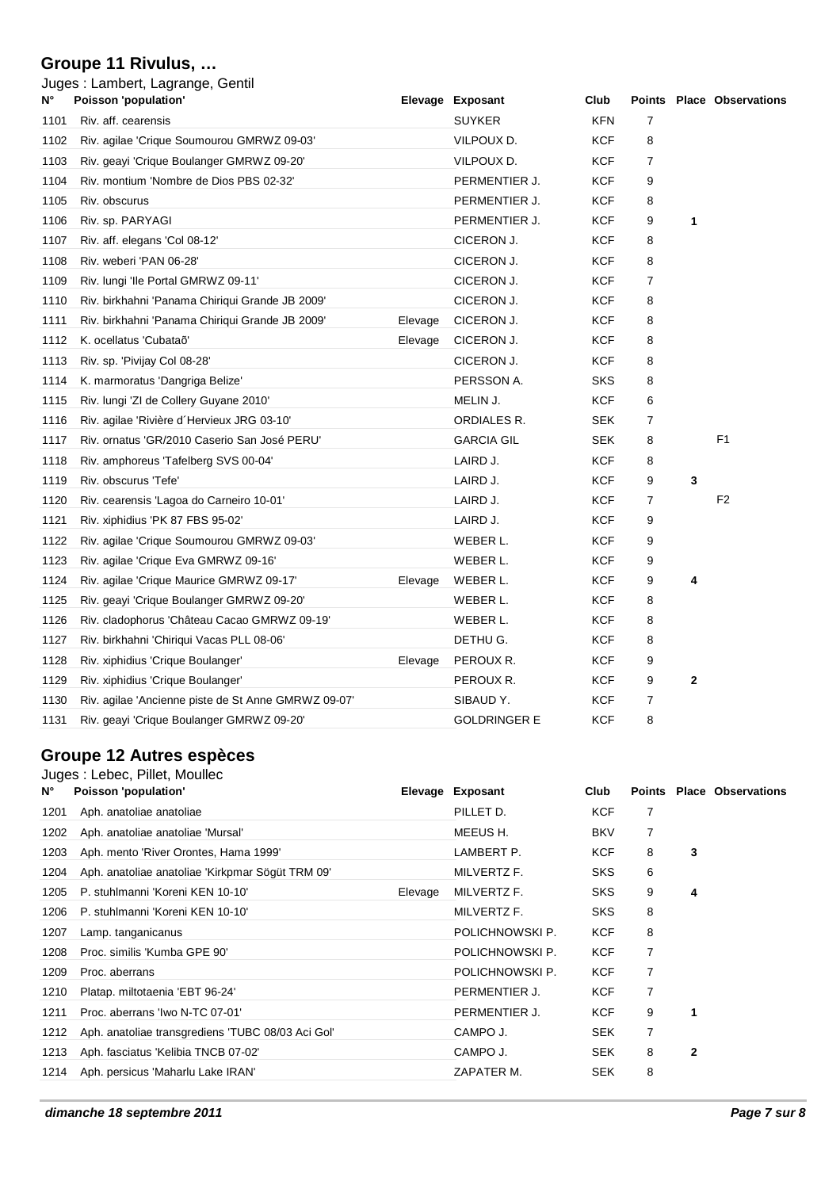#### **Groupe 11 Rivulus, …**

| N°   | Juges: Lambert, Lagrange, Gentil<br><b>Poisson 'population'</b> |         | Elevage Exposant    | Club       |                |              | <b>Points Place Observations</b> |
|------|-----------------------------------------------------------------|---------|---------------------|------------|----------------|--------------|----------------------------------|
| 1101 | Riv. aff. cearensis                                             |         | <b>SUYKER</b>       | <b>KFN</b> | $\overline{7}$ |              |                                  |
| 1102 | Riv. agilae 'Crique Soumourou GMRWZ 09-03'                      |         | VILPOUX D.          | <b>KCF</b> | 8              |              |                                  |
| 1103 | Riv. geayi 'Crique Boulanger GMRWZ 09-20'                       |         | VILPOUX D.          | <b>KCF</b> | 7              |              |                                  |
| 1104 | Riv. montium 'Nombre de Dios PBS 02-32'                         |         | PERMENTIER J.       | <b>KCF</b> | 9              |              |                                  |
| 1105 | Riv. obscurus                                                   |         | PERMENTIER J.       | KCF        | 8              |              |                                  |
| 1106 | Riv. sp. PARYAGI                                                |         | PERMENTIER J.       | <b>KCF</b> | 9              | 1            |                                  |
| 1107 | Riv. aff. elegans 'Col 08-12'                                   |         | CICERON J.          | <b>KCF</b> | 8              |              |                                  |
| 1108 | Riv. weberi 'PAN 06-28'                                         |         | CICERON J.          | KCF        | 8              |              |                                  |
| 1109 | Riv. lungi 'lle Portal GMRWZ 09-11'                             |         | CICERON J.          | KCF        | 7              |              |                                  |
| 1110 | Riv. birkhahni 'Panama Chiriqui Grande JB 2009'                 |         | CICERON J.          | KCF        | 8              |              |                                  |
| 1111 | Riv. birkhahni 'Panama Chiriqui Grande JB 2009'                 | Elevage | CICERON J.          | KCF        | 8              |              |                                  |
| 1112 | K. ocellatus 'Cubataõ'                                          | Elevage | CICERON J.          | <b>KCF</b> | 8              |              |                                  |
| 1113 | Riv. sp. 'Pivijay Col 08-28'                                    |         | CICERON J.          | <b>KCF</b> | 8              |              |                                  |
| 1114 | K. marmoratus 'Dangriga Belize'                                 |         | PERSSON A.          | SKS        | 8              |              |                                  |
| 1115 | Riv. lungi 'ZI de Collery Guyane 2010'                          |         | MELIN J.            | <b>KCF</b> | 6              |              |                                  |
| 1116 | Riv. agilae 'Rivière d'Hervieux JRG 03-10'                      |         | ORDIALES R.         | <b>SEK</b> | 7              |              |                                  |
| 1117 | Riv. ornatus 'GR/2010 Caserio San José PERU'                    |         | <b>GARCIA GIL</b>   | <b>SEK</b> | 8              |              | F <sub>1</sub>                   |
| 1118 | Riv. amphoreus 'Tafelberg SVS 00-04'                            |         | LAIRD J.            | <b>KCF</b> | 8              |              |                                  |
| 1119 | Riv. obscurus 'Tefe'                                            |         | LAIRD J.            | <b>KCF</b> | 9              | 3            |                                  |
| 1120 | Riv. cearensis 'Lagoa do Carneiro 10-01'                        |         | LAIRD J.            | <b>KCF</b> | $\overline{7}$ |              | F <sub>2</sub>                   |
| 1121 | Riv. xiphidius 'PK 87 FBS 95-02'                                |         | LAIRD J.            | <b>KCF</b> | 9              |              |                                  |
| 1122 | Riv. agilae 'Crique Soumourou GMRWZ 09-03'                      |         | WEBER L.            | KCF        | 9              |              |                                  |
| 1123 | Riv. agilae 'Crique Eva GMRWZ 09-16'                            |         | WEBER L.            | KCF        | 9              |              |                                  |
| 1124 | Riv. agilae 'Crique Maurice GMRWZ 09-17'                        | Elevage | WEBER L.            | <b>KCF</b> | 9              | 4            |                                  |
| 1125 | Riv. geayi 'Crique Boulanger GMRWZ 09-20'                       |         | WEBER L.            | <b>KCF</b> | 8              |              |                                  |
| 1126 | Riv. cladophorus 'Château Cacao GMRWZ 09-19'                    |         | WEBER L.            | <b>KCF</b> | 8              |              |                                  |
| 1127 | Riv. birkhahni 'Chiriqui Vacas PLL 08-06'                       |         | DETHU G.            | <b>KCF</b> | 8              |              |                                  |
| 1128 | Riv. xiphidius 'Crique Boulanger'                               | Elevage | PEROUX R.           | <b>KCF</b> | 9              |              |                                  |
| 1129 | Riv. xiphidius 'Crique Boulanger'                               |         | PEROUX R.           | KCF        | 9              | $\mathbf{2}$ |                                  |
| 1130 | Riv. agilae 'Ancienne piste de St Anne GMRWZ 09-07'             |         | SIBAUD Y.           | KCF        | 7              |              |                                  |
| 1131 | Riv. geayi 'Crique Boulanger GMRWZ 09-20'                       |         | <b>GOLDRINGER E</b> | <b>KCF</b> | 8              |              |                                  |

# **Groupe 12 Autres espèces**

### Juges : Lebec, Pillet, Moullec

| $N^{\circ}$ | Poisson 'population'                              |         | Elevage Exposant | Club       |   |              | <b>Points Place Observations</b> |
|-------------|---------------------------------------------------|---------|------------------|------------|---|--------------|----------------------------------|
| 1201        | Aph. anatoliae anatoliae                          |         | PILLET D.        | <b>KCF</b> | 7 |              |                                  |
| 1202        | Aph. anatoliae anatoliae 'Mursal'                 |         | MEEUS H.         | <b>BKV</b> | 7 |              |                                  |
| 1203        | Aph. mento 'River Orontes, Hama 1999'             |         | LAMBERT P.       | <b>KCF</b> | 8 | 3            |                                  |
| 1204        | Aph. anatoliae anatoliae 'Kirkpmar Sögüt TRM 09'  |         | MILVERTZ F.      | SKS.       | 6 |              |                                  |
| 1205        | P. stuhlmanni 'Koreni KEN 10-10'                  | Elevage | MILVERTZ F.      | <b>SKS</b> | 9 | 4            |                                  |
| 1206        | P. stuhlmanni 'Koreni KEN 10-10'                  |         | MILVERTZ F.      | <b>SKS</b> | 8 |              |                                  |
| 1207        | Lamp. tanganicanus                                |         | POLICHNOWSKI P.  | <b>KCF</b> | 8 |              |                                  |
| 1208        | Proc. similis 'Kumba GPE 90'                      |         | POLICHNOWSKI P.  | <b>KCF</b> | 7 |              |                                  |
| 1209        | Proc. aberrans                                    |         | POLICHNOWSKI P.  | <b>KCF</b> | 7 |              |                                  |
| 1210        | Platap. miltotaenia 'EBT 96-24'                   |         | PERMENTIER J.    | <b>KCF</b> | 7 |              |                                  |
| 1211        | Proc. aberrans 'Iwo N-TC 07-01'                   |         | PERMENTIER J.    | <b>KCF</b> | 9 | 1            |                                  |
| 1212        | Aph. anatoliae transgrediens 'TUBC 08/03 Aci Gol' |         | CAMPO J.         | <b>SEK</b> | 7 |              |                                  |
| 1213        | Aph. fasciatus 'Kelibia TNCB 07-02'               |         | CAMPO J.         | <b>SEK</b> | 8 | $\mathbf{2}$ |                                  |
| 1214        | Aph. persicus 'Maharlu Lake IRAN'                 |         | ZAPATER M.       | <b>SEK</b> | 8 |              |                                  |
|             |                                                   |         |                  |            |   |              |                                  |